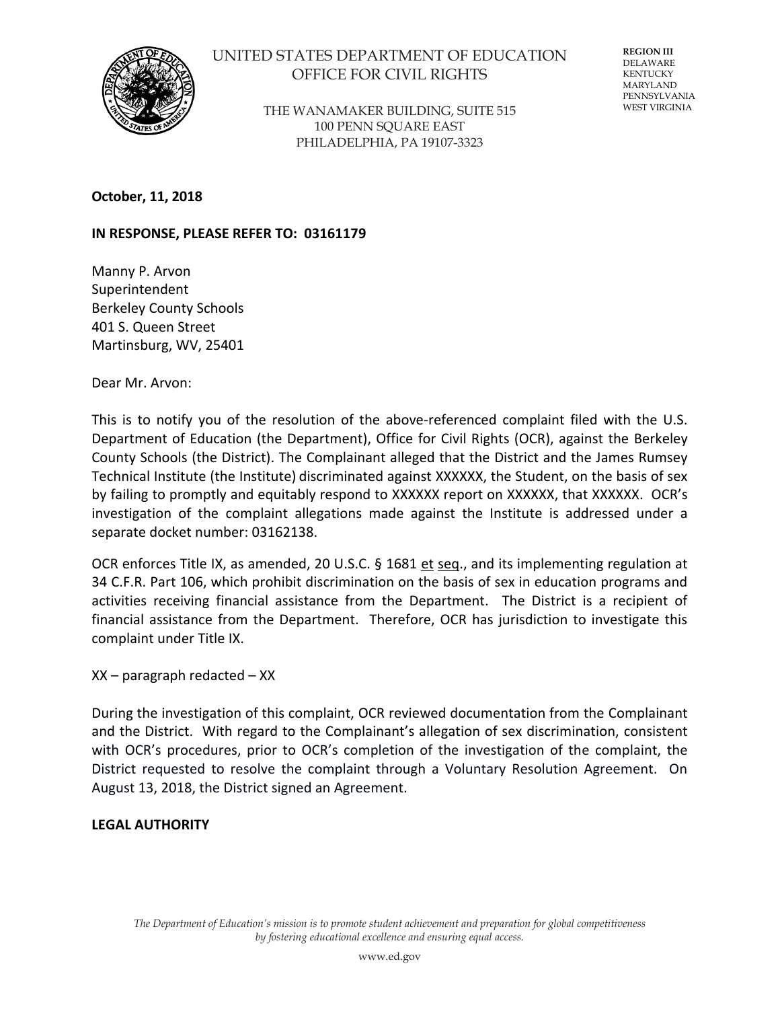

# UNITED STATES DEPARTMENT OF EDUCATION OFFICE FOR CIVIL RIGHTS

THE WANAMAKER BUILDING, SUITE 515 100 PENN SQUARE EAST PHILADELPHIA, PA 19107-3323

**REGION III** DELAWARE KENTUCKY MARYLAND PENNSYLVANIA WEST VIRGINIA

**October, 11, 2018**

#### **IN RESPONSE, PLEASE REFER TO: 03161179**

Manny P. Arvon Superintendent Berkeley County Schools 401 S. Queen Street Martinsburg, WV, 25401

Dear Mr. Arvon:

This is to notify you of the resolution of the above-referenced complaint filed with the U.S. Department of Education (the Department), Office for Civil Rights (OCR), against the Berkeley County Schools (the District). The Complainant alleged that the District and the James Rumsey Technical Institute (the Institute) discriminated against XXXXXX, the Student, on the basis of sex by failing to promptly and equitably respond to XXXXXX report on XXXXXX, that XXXXXX. OCR's investigation of the complaint allegations made against the Institute is addressed under a separate docket number: 03162138.

OCR enforces Title IX, as amended, 20 U.S.C. § 1681 et seq., and its implementing regulation at 34 C.F.R. Part 106, which prohibit discrimination on the basis of sex in education programs and activities receiving financial assistance from the Department. The District is a recipient of financial assistance from the Department. Therefore, OCR has jurisdiction to investigate this complaint under Title IX.

XX – paragraph redacted – XX

During the investigation of this complaint, OCR reviewed documentation from the Complainant and the District. With regard to the Complainant's allegation of sex discrimination, consistent with OCR's procedures, prior to OCR's completion of the investigation of the complaint, the District requested to resolve the complaint through a Voluntary Resolution Agreement. On August 13, 2018, the District signed an Agreement.

#### **LEGAL AUTHORITY**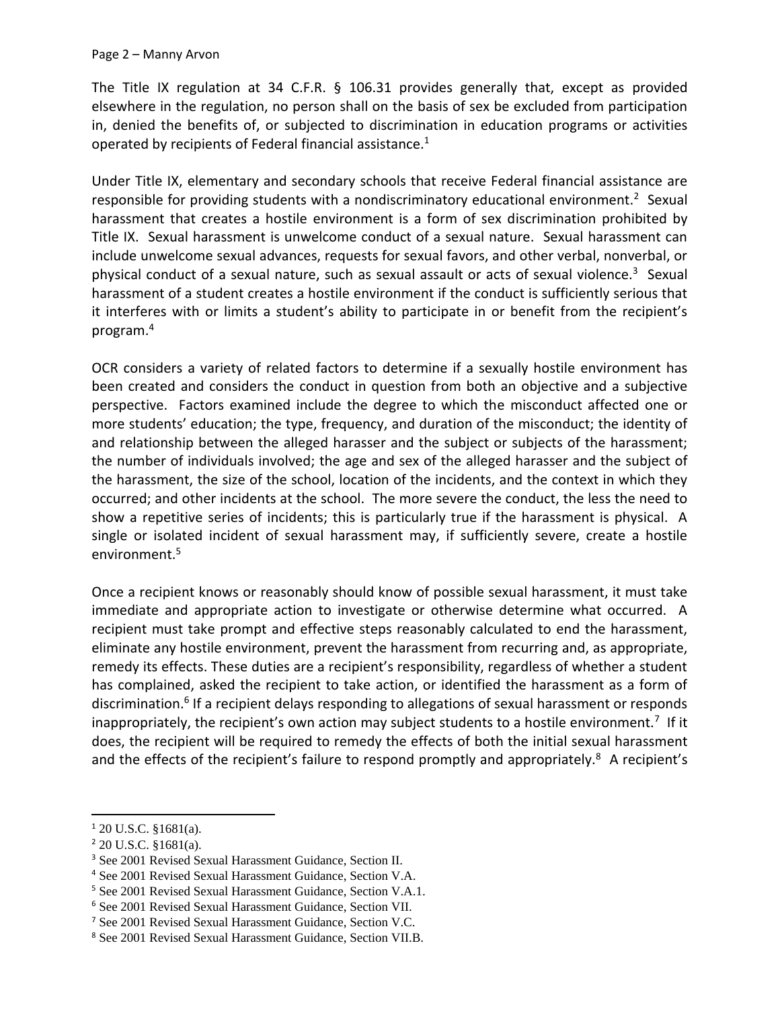The Title IX regulation at 34 C.F.R. § 106.31 provides generally that, except as provided elsewhere in the regulation, no person shall on the basis of sex be excluded from participation in, denied the benefits of, or subjected to discrimination in education programs or activities operated by recipients of Federal financial assistance.<sup>1</sup>

Under Title IX, elementary and secondary schools that receive Federal financial assistance are responsible for providing students with a nondiscriminatory educational environment.<sup>2</sup> Sexual harassment that creates a hostile environment is a form of sex discrimination prohibited by Title IX. Sexual harassment is unwelcome conduct of a sexual nature. Sexual harassment can include unwelcome sexual advances, requests for sexual favors, and other verbal, nonverbal, or physical conduct of a sexual nature, such as sexual assault or acts of sexual violence.<sup>3</sup> Sexual harassment of a student creates a hostile environment if the conduct is sufficiently serious that it interferes with or limits a student's ability to participate in or benefit from the recipient's program.<sup>4</sup>

OCR considers a variety of related factors to determine if a sexually hostile environment has been created and considers the conduct in question from both an objective and a subjective perspective. Factors examined include the degree to which the misconduct affected one or more students' education; the type, frequency, and duration of the misconduct; the identity of and relationship between the alleged harasser and the subject or subjects of the harassment; the number of individuals involved; the age and sex of the alleged harasser and the subject of the harassment, the size of the school, location of the incidents, and the context in which they occurred; and other incidents at the school. The more severe the conduct, the less the need to show a repetitive series of incidents; this is particularly true if the harassment is physical. A single or isolated incident of sexual harassment may, if sufficiently severe, create a hostile environment.<sup>5</sup>

Once a recipient knows or reasonably should know of possible sexual harassment, it must take immediate and appropriate action to investigate or otherwise determine what occurred. A recipient must take prompt and effective steps reasonably calculated to end the harassment, eliminate any hostile environment, prevent the harassment from recurring and, as appropriate, remedy its effects. These duties are a recipient's responsibility, regardless of whether a student has complained, asked the recipient to take action, or identified the harassment as a form of discrimination.<sup>6</sup> If a recipient delays responding to allegations of sexual harassment or responds inappropriately, the recipient's own action may subject students to a hostile environment.<sup>7</sup> If it does, the recipient will be required to remedy the effects of both the initial sexual harassment and the effects of the recipient's failure to respond promptly and appropriately.<sup>8</sup> A recipient's

 $\overline{\phantom{a}}$ 

<sup>1</sup> 20 U.S.C. §1681(a).

<sup>2</sup> 20 U.S.C. §1681(a).

<sup>3</sup> See 2001 Revised Sexual Harassment Guidance, Section II.

<sup>4</sup> See 2001 Revised Sexual Harassment Guidance, Section V.A.

<sup>5</sup> See 2001 Revised Sexual Harassment Guidance, Section V.A.1.

<sup>6</sup> See 2001 Revised Sexual Harassment Guidance, Section VII.

<sup>7</sup> See 2001 Revised Sexual Harassment Guidance, Section V.C.

<sup>8</sup> See 2001 Revised Sexual Harassment Guidance, Section VII.B.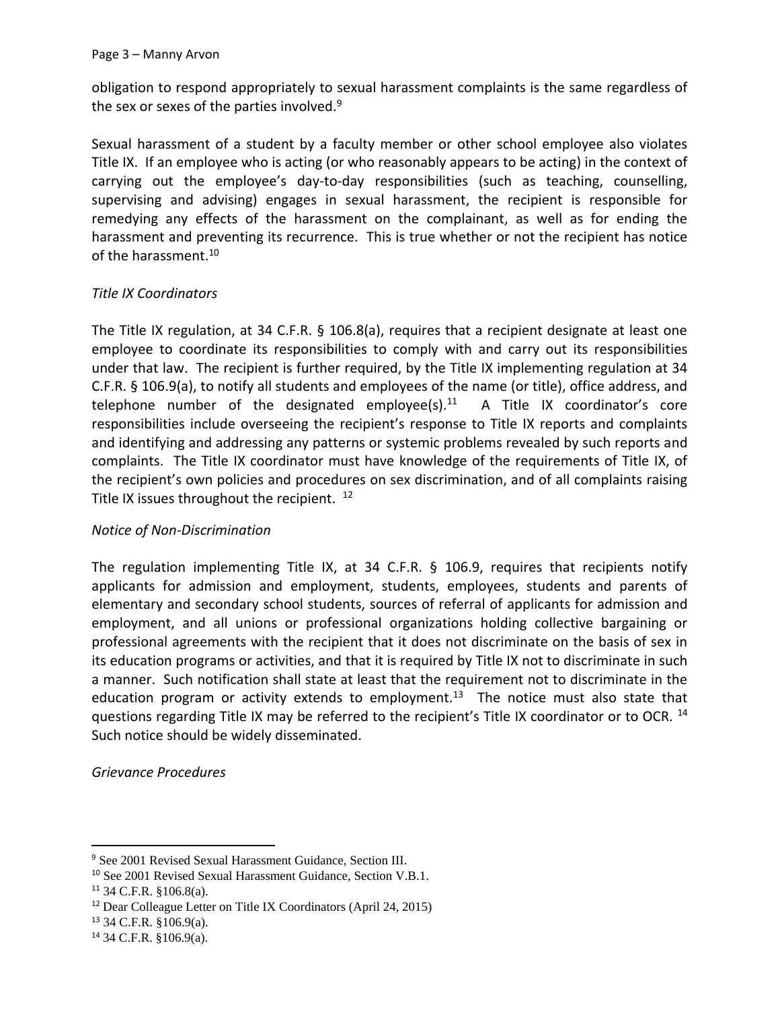obligation to respond appropriately to sexual harassment complaints is the same regardless of the sex or sexes of the parties involved.<sup>9</sup>

Sexual harassment of a student by a faculty member or other school employee also violates Title IX. If an employee who is acting (or who reasonably appears to be acting) in the context of carrying out the employee's day-to-day responsibilities (such as teaching, counselling, supervising and advising) engages in sexual harassment, the recipient is responsible for remedying any effects of the harassment on the complainant, as well as for ending the harassment and preventing its recurrence. This is true whether or not the recipient has notice of the harassment.<sup>10</sup>

#### *Title IX Coordinators*

The Title IX regulation, at 34 C.F.R. § 106.8(a), requires that a recipient designate at least one employee to coordinate its responsibilities to comply with and carry out its responsibilities under that law. The recipient is further required, by the Title IX implementing regulation at 34 C.F.R. § 106.9(a), to notify all students and employees of the name (or title), office address, and telephone number of the designated employee(s). $11$  A Title IX coordinator's core responsibilities include overseeing the recipient's response to Title IX reports and complaints and identifying and addressing any patterns or systemic problems revealed by such reports and complaints. The Title IX coordinator must have knowledge of the requirements of Title IX, of the recipient's own policies and procedures on sex discrimination, and of all complaints raising Title IX issues throughout the recipient. <sup>12</sup>

#### *Notice of Non-Discrimination*

The regulation implementing Title IX, at 34 C.F.R.  $\S$  106.9, requires that recipients notify applicants for admission and employment, students, employees, students and parents of elementary and secondary school students, sources of referral of applicants for admission and employment, and all unions or professional organizations holding collective bargaining or professional agreements with the recipient that it does not discriminate on the basis of sex in its education programs or activities, and that it is required by Title IX not to discriminate in such a manner. Such notification shall state at least that the requirement not to discriminate in the education program or activity extends to employment.<sup>13</sup> The notice must also state that questions regarding Title IX may be referred to the recipient's Title IX coordinator or to OCR. <sup>14</sup> Such notice should be widely disseminated.

*Grievance Procedures*

 $\overline{\phantom{a}}$ 

<sup>9</sup> See 2001 Revised Sexual Harassment Guidance, Section III.

<sup>10</sup> See 2001 Revised Sexual Harassment Guidance, Section V.B.1.

<sup>11</sup> 34 C.F.R. §106.8(a).

<sup>12</sup> Dear Colleague Letter on Title IX Coordinators (April 24, 2015)

<sup>13</sup> 34 C.F.R. §106.9(a).

<sup>14</sup> 34 C.F.R. §106.9(a).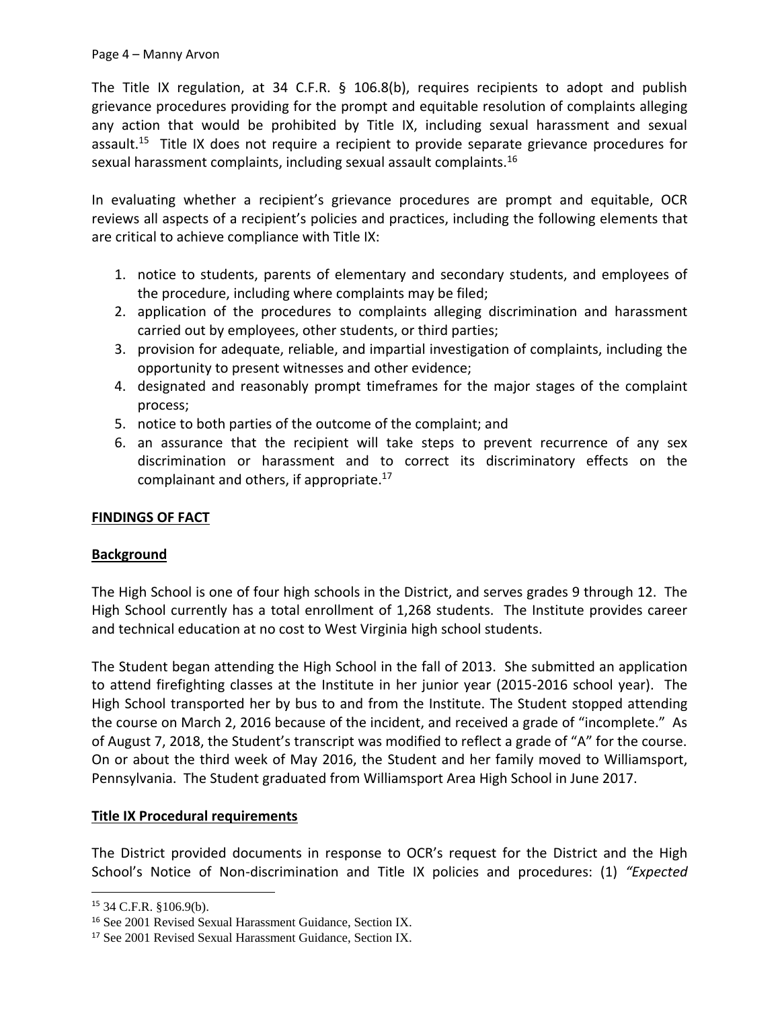The Title IX regulation, at 34 C.F.R. § 106.8(b), requires recipients to adopt and publish grievance procedures providing for the prompt and equitable resolution of complaints alleging any action that would be prohibited by Title IX, including sexual harassment and sexual assault.<sup>15</sup> Title IX does not require a recipient to provide separate grievance procedures for sexual harassment complaints, including sexual assault complaints.<sup>16</sup>

In evaluating whether a recipient's grievance procedures are prompt and equitable, OCR reviews all aspects of a recipient's policies and practices, including the following elements that are critical to achieve compliance with Title IX:

- 1. notice to students, parents of elementary and secondary students, and employees of the procedure, including where complaints may be filed;
- 2. application of the procedures to complaints alleging discrimination and harassment carried out by employees, other students, or third parties;
- 3. provision for adequate, reliable, and impartial investigation of complaints, including the opportunity to present witnesses and other evidence;
- 4. designated and reasonably prompt timeframes for the major stages of the complaint process;
- 5. notice to both parties of the outcome of the complaint; and
- 6. an assurance that the recipient will take steps to prevent recurrence of any sex discrimination or harassment and to correct its discriminatory effects on the complainant and others, if appropriate. $^{17}$

# **FINDINGS OF FACT**

# **Background**

The High School is one of four high schools in the District, and serves grades 9 through 12. The High School currently has a total enrollment of 1,268 students. The Institute provides career and technical education at no cost to West Virginia high school students.

The Student began attending the High School in the fall of 2013. She submitted an application to attend firefighting classes at the Institute in her junior year (2015-2016 school year). The High School transported her by bus to and from the Institute. The Student stopped attending the course on March 2, 2016 because of the incident, and received a grade of "incomplete." As of August 7, 2018, the Student's transcript was modified to reflect a grade of "A" for the course. On or about the third week of May 2016, the Student and her family moved to Williamsport, Pennsylvania. The Student graduated from Williamsport Area High School in June 2017.

# **Title IX Procedural requirements**

The District provided documents in response to OCR's request for the District and the High School's Notice of Non-discrimination and Title IX policies and procedures: (1) *"Expected* 

 $\overline{\phantom{a}}$ 

<sup>15</sup> 34 C.F.R. §106.9(b).

<sup>16</sup> See 2001 Revised Sexual Harassment Guidance, Section IX.

<sup>17</sup> See 2001 Revised Sexual Harassment Guidance, Section IX.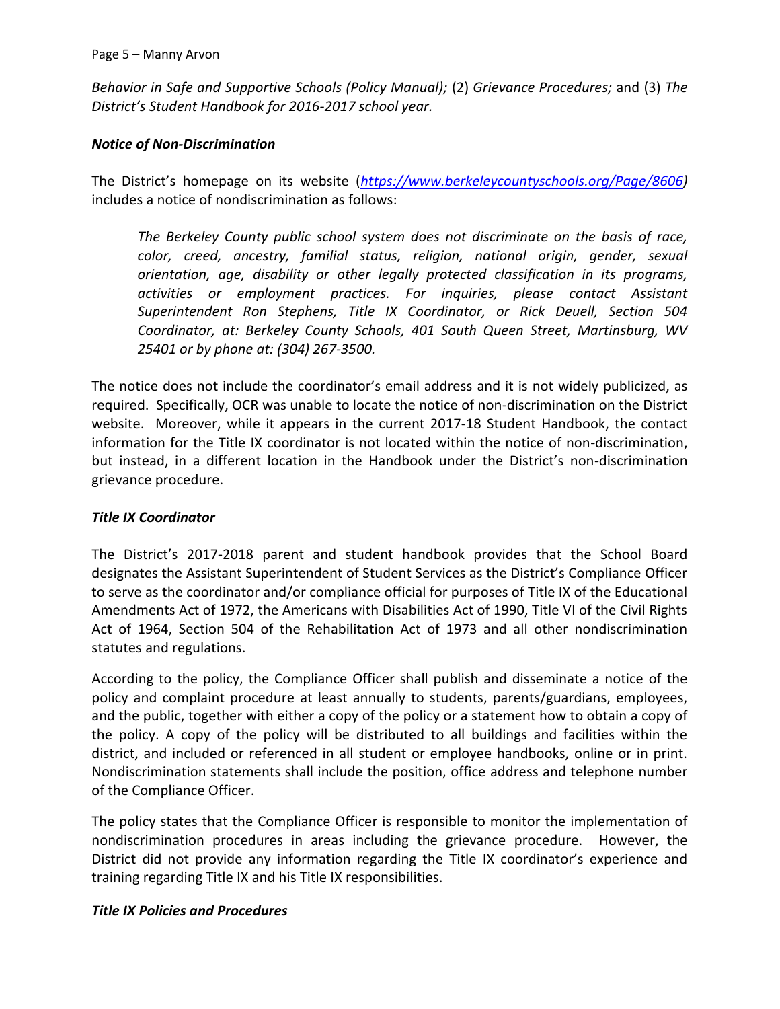*Behavior in Safe and Supportive Schools (Policy Manual);* (2) *Grievance Procedures;* and (3) *The District's Student Handbook for 2016-2017 school year.* 

# *Notice of Non-Discrimination*

The District's homepage on its website (*[https://www.berkeleycountyschools.org/Page/8606\)](https://www.berkeleycountyschools.org/Page/8606)*  includes a notice of nondiscrimination as follows:

*The Berkeley County public school system does not discriminate on the basis of race, color, creed, ancestry, familial status, religion, national origin, gender, sexual orientation, age, disability or other legally protected classification in its programs, activities or employment practices. For inquiries, please contact Assistant Superintendent Ron Stephens, Title IX Coordinator, or Rick Deuell, Section 504 Coordinator, at: Berkeley County Schools, 401 South Queen Street, Martinsburg, WV 25401 or by phone at: (304) 267-3500.* 

The notice does not include the coordinator's email address and it is not widely publicized, as required. Specifically, OCR was unable to locate the notice of non-discrimination on the District website. Moreover, while it appears in the current 2017-18 Student Handbook, the contact information for the Title IX coordinator is not located within the notice of non-discrimination, but instead, in a different location in the Handbook under the District's non-discrimination grievance procedure.

# *Title IX Coordinator*

The District's 2017-2018 parent and student handbook provides that the School Board designates the Assistant Superintendent of Student Services as the District's Compliance Officer to serve as the coordinator and/or compliance official for purposes of Title IX of the Educational Amendments Act of 1972, the Americans with Disabilities Act of 1990, Title VI of the Civil Rights Act of 1964, Section 504 of the Rehabilitation Act of 1973 and all other nondiscrimination statutes and regulations.

According to the policy, the Compliance Officer shall publish and disseminate a notice of the policy and complaint procedure at least annually to students, parents/guardians, employees, and the public, together with either a copy of the policy or a statement how to obtain a copy of the policy. A copy of the policy will be distributed to all buildings and facilities within the district, and included or referenced in all student or employee handbooks, online or in print. Nondiscrimination statements shall include the position, office address and telephone number of the Compliance Officer.

The policy states that the Compliance Officer is responsible to monitor the implementation of nondiscrimination procedures in areas including the grievance procedure. However, the District did not provide any information regarding the Title IX coordinator's experience and training regarding Title IX and his Title IX responsibilities.

# *Title IX Policies and Procedures*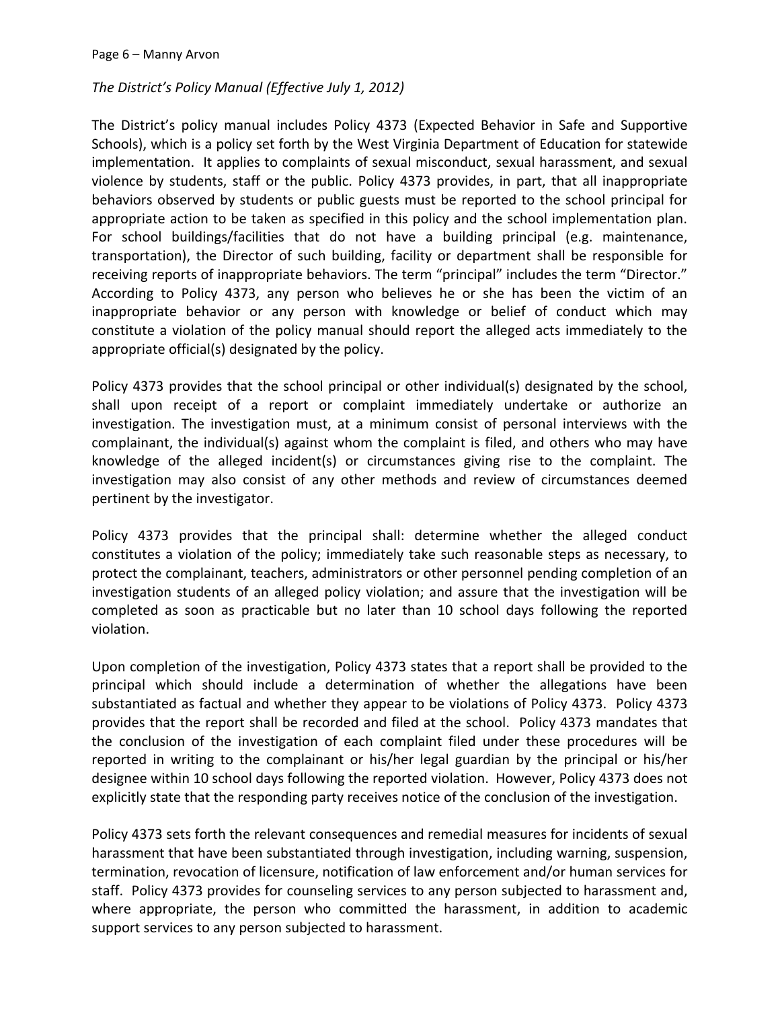# *The District's Policy Manual (Effective July 1, 2012)*

The District's policy manual includes Policy 4373 (Expected Behavior in Safe and Supportive Schools), which is a policy set forth by the West Virginia Department of Education for statewide implementation. It applies to complaints of sexual misconduct, sexual harassment, and sexual violence by students, staff or the public. Policy 4373 provides, in part, that all inappropriate behaviors observed by students or public guests must be reported to the school principal for appropriate action to be taken as specified in this policy and the school implementation plan. For school buildings/facilities that do not have a building principal (e.g. maintenance, transportation), the Director of such building, facility or department shall be responsible for receiving reports of inappropriate behaviors. The term "principal" includes the term "Director." According to Policy 4373, any person who believes he or she has been the victim of an inappropriate behavior or any person with knowledge or belief of conduct which may constitute a violation of the policy manual should report the alleged acts immediately to the appropriate official(s) designated by the policy.

Policy 4373 provides that the school principal or other individual(s) designated by the school, shall upon receipt of a report or complaint immediately undertake or authorize an investigation. The investigation must, at a minimum consist of personal interviews with the complainant, the individual(s) against whom the complaint is filed, and others who may have knowledge of the alleged incident(s) or circumstances giving rise to the complaint. The investigation may also consist of any other methods and review of circumstances deemed pertinent by the investigator.

Policy 4373 provides that the principal shall: determine whether the alleged conduct constitutes a violation of the policy; immediately take such reasonable steps as necessary, to protect the complainant, teachers, administrators or other personnel pending completion of an investigation students of an alleged policy violation; and assure that the investigation will be completed as soon as practicable but no later than 10 school days following the reported violation.

Upon completion of the investigation, Policy 4373 states that a report shall be provided to the principal which should include a determination of whether the allegations have been substantiated as factual and whether they appear to be violations of Policy 4373. Policy 4373 provides that the report shall be recorded and filed at the school. Policy 4373 mandates that the conclusion of the investigation of each complaint filed under these procedures will be reported in writing to the complainant or his/her legal guardian by the principal or his/her designee within 10 school days following the reported violation. However, Policy 4373 does not explicitly state that the responding party receives notice of the conclusion of the investigation.

Policy 4373 sets forth the relevant consequences and remedial measures for incidents of sexual harassment that have been substantiated through investigation, including warning, suspension, termination, revocation of licensure, notification of law enforcement and/or human services for staff. Policy 4373 provides for counseling services to any person subjected to harassment and, where appropriate, the person who committed the harassment, in addition to academic support services to any person subjected to harassment.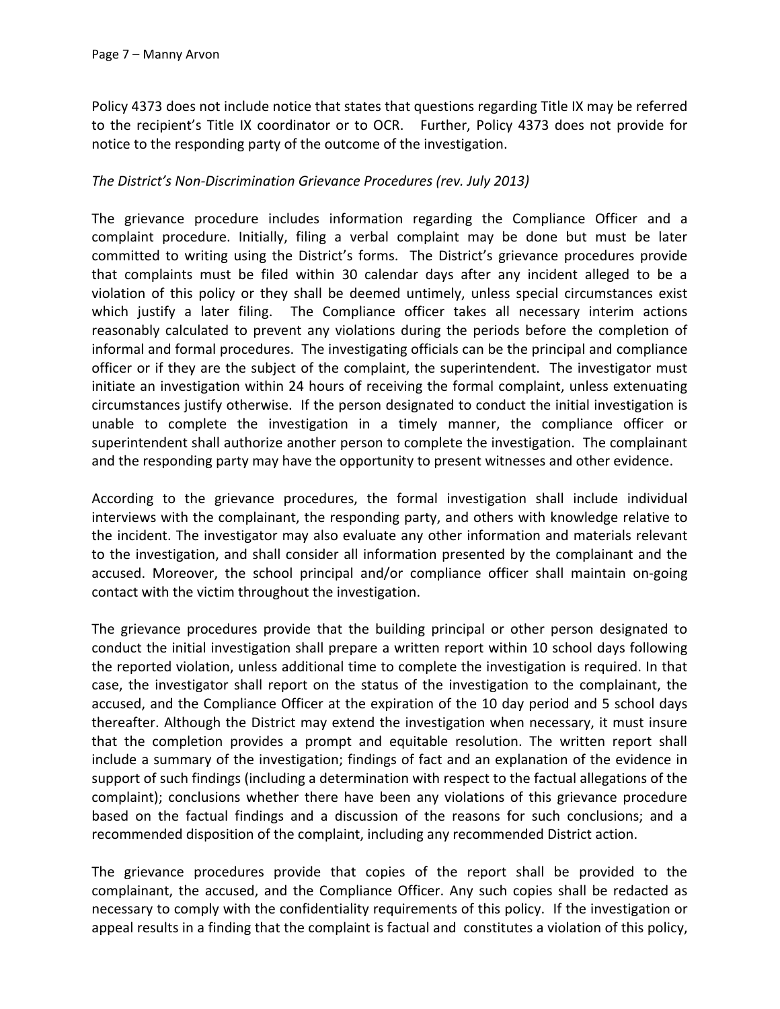Policy 4373 does not include notice that states that questions regarding Title IX may be referred to the recipient's Title IX coordinator or to OCR. Further, Policy 4373 does not provide for notice to the responding party of the outcome of the investigation.

#### *The District's Non-Discrimination Grievance Procedures (rev. July 2013)*

The grievance procedure includes information regarding the Compliance Officer and a complaint procedure. Initially, filing a verbal complaint may be done but must be later committed to writing using the District's forms. The District's grievance procedures provide that complaints must be filed within 30 calendar days after any incident alleged to be a violation of this policy or they shall be deemed untimely, unless special circumstances exist which justify a later filing. The Compliance officer takes all necessary interim actions reasonably calculated to prevent any violations during the periods before the completion of informal and formal procedures. The investigating officials can be the principal and compliance officer or if they are the subject of the complaint, the superintendent. The investigator must initiate an investigation within 24 hours of receiving the formal complaint, unless extenuating circumstances justify otherwise. If the person designated to conduct the initial investigation is unable to complete the investigation in a timely manner, the compliance officer or superintendent shall authorize another person to complete the investigation. The complainant and the responding party may have the opportunity to present witnesses and other evidence.

According to the grievance procedures, the formal investigation shall include individual interviews with the complainant, the responding party, and others with knowledge relative to the incident. The investigator may also evaluate any other information and materials relevant to the investigation, and shall consider all information presented by the complainant and the accused. Moreover, the school principal and/or compliance officer shall maintain on-going contact with the victim throughout the investigation.

The grievance procedures provide that the building principal or other person designated to conduct the initial investigation shall prepare a written report within 10 school days following the reported violation, unless additional time to complete the investigation is required. In that case, the investigator shall report on the status of the investigation to the complainant, the accused, and the Compliance Officer at the expiration of the 10 day period and 5 school days thereafter. Although the District may extend the investigation when necessary, it must insure that the completion provides a prompt and equitable resolution. The written report shall include a summary of the investigation; findings of fact and an explanation of the evidence in support of such findings (including a determination with respect to the factual allegations of the complaint); conclusions whether there have been any violations of this grievance procedure based on the factual findings and a discussion of the reasons for such conclusions; and a recommended disposition of the complaint, including any recommended District action.

The grievance procedures provide that copies of the report shall be provided to the complainant, the accused, and the Compliance Officer. Any such copies shall be redacted as necessary to comply with the confidentiality requirements of this policy. If the investigation or appeal results in a finding that the complaint is factual and constitutes a violation of this policy,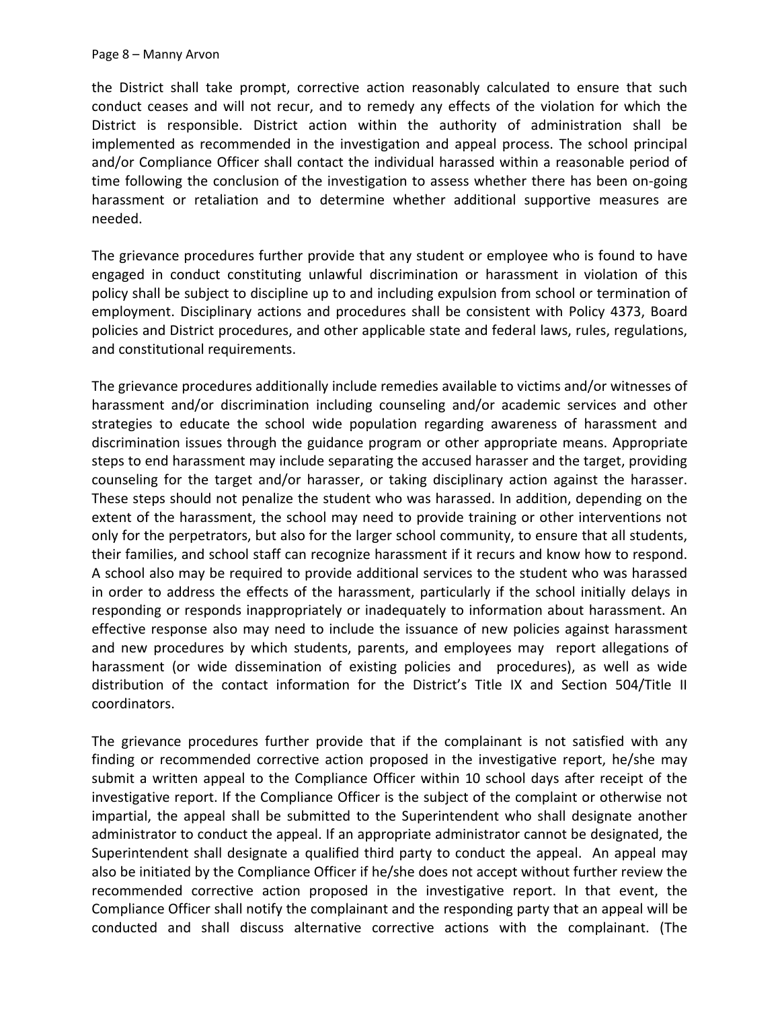the District shall take prompt, corrective action reasonably calculated to ensure that such conduct ceases and will not recur, and to remedy any effects of the violation for which the District is responsible. District action within the authority of administration shall be implemented as recommended in the investigation and appeal process. The school principal and/or Compliance Officer shall contact the individual harassed within a reasonable period of time following the conclusion of the investigation to assess whether there has been on-going harassment or retaliation and to determine whether additional supportive measures are needed.

The grievance procedures further provide that any student or employee who is found to have engaged in conduct constituting unlawful discrimination or harassment in violation of this policy shall be subject to discipline up to and including expulsion from school or termination of employment. Disciplinary actions and procedures shall be consistent with Policy 4373, Board policies and District procedures, and other applicable state and federal laws, rules, regulations, and constitutional requirements.

The grievance procedures additionally include remedies available to victims and/or witnesses of harassment and/or discrimination including counseling and/or academic services and other strategies to educate the school wide population regarding awareness of harassment and discrimination issues through the guidance program or other appropriate means. Appropriate steps to end harassment may include separating the accused harasser and the target, providing counseling for the target and/or harasser, or taking disciplinary action against the harasser. These steps should not penalize the student who was harassed. In addition, depending on the extent of the harassment, the school may need to provide training or other interventions not only for the perpetrators, but also for the larger school community, to ensure that all students, their families, and school staff can recognize harassment if it recurs and know how to respond. A school also may be required to provide additional services to the student who was harassed in order to address the effects of the harassment, particularly if the school initially delays in responding or responds inappropriately or inadequately to information about harassment. An effective response also may need to include the issuance of new policies against harassment and new procedures by which students, parents, and employees may report allegations of harassment (or wide dissemination of existing policies and procedures), as well as wide distribution of the contact information for the District's Title IX and Section 504/Title II coordinators.

The grievance procedures further provide that if the complainant is not satisfied with any finding or recommended corrective action proposed in the investigative report, he/she may submit a written appeal to the Compliance Officer within 10 school days after receipt of the investigative report. If the Compliance Officer is the subject of the complaint or otherwise not impartial, the appeal shall be submitted to the Superintendent who shall designate another administrator to conduct the appeal. If an appropriate administrator cannot be designated, the Superintendent shall designate a qualified third party to conduct the appeal. An appeal may also be initiated by the Compliance Officer if he/she does not accept without further review the recommended corrective action proposed in the investigative report. In that event, the Compliance Officer shall notify the complainant and the responding party that an appeal will be conducted and shall discuss alternative corrective actions with the complainant. (The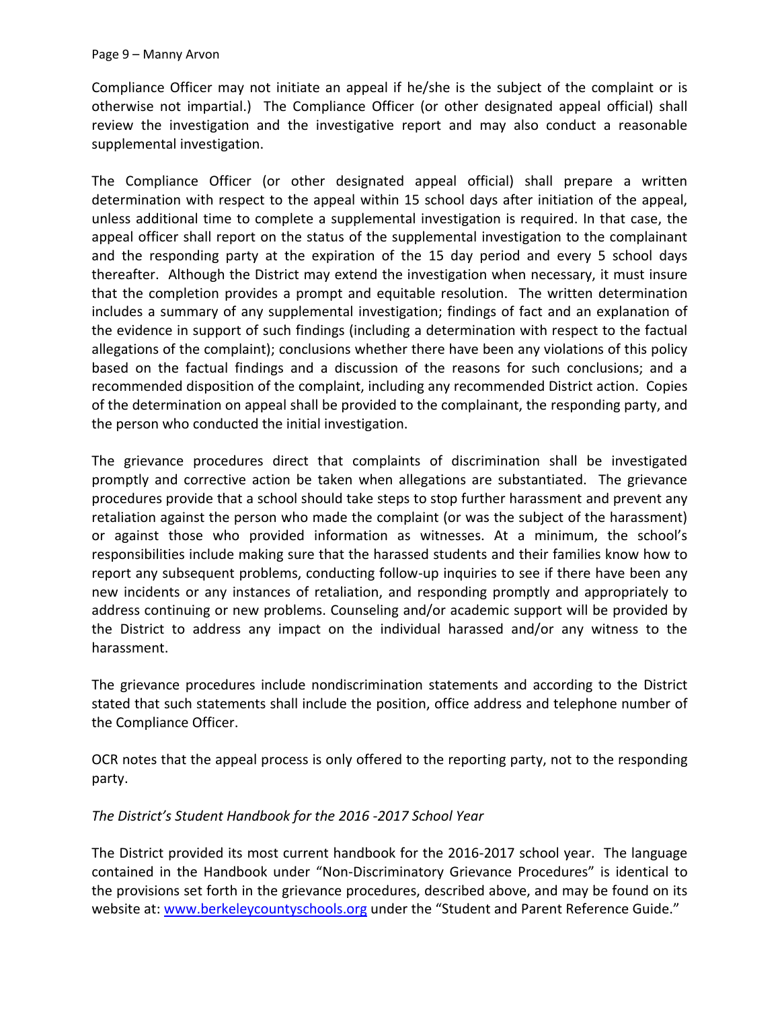Compliance Officer may not initiate an appeal if he/she is the subject of the complaint or is otherwise not impartial.) The Compliance Officer (or other designated appeal official) shall review the investigation and the investigative report and may also conduct a reasonable supplemental investigation.

The Compliance Officer (or other designated appeal official) shall prepare a written determination with respect to the appeal within 15 school days after initiation of the appeal, unless additional time to complete a supplemental investigation is required. In that case, the appeal officer shall report on the status of the supplemental investigation to the complainant and the responding party at the expiration of the 15 day period and every 5 school days thereafter. Although the District may extend the investigation when necessary, it must insure that the completion provides a prompt and equitable resolution. The written determination includes a summary of any supplemental investigation; findings of fact and an explanation of the evidence in support of such findings (including a determination with respect to the factual allegations of the complaint); conclusions whether there have been any violations of this policy based on the factual findings and a discussion of the reasons for such conclusions; and a recommended disposition of the complaint, including any recommended District action. Copies of the determination on appeal shall be provided to the complainant, the responding party, and the person who conducted the initial investigation.

The grievance procedures direct that complaints of discrimination shall be investigated promptly and corrective action be taken when allegations are substantiated. The grievance procedures provide that a school should take steps to stop further harassment and prevent any retaliation against the person who made the complaint (or was the subject of the harassment) or against those who provided information as witnesses. At a minimum, the school's responsibilities include making sure that the harassed students and their families know how to report any subsequent problems, conducting follow-up inquiries to see if there have been any new incidents or any instances of retaliation, and responding promptly and appropriately to address continuing or new problems. Counseling and/or academic support will be provided by the District to address any impact on the individual harassed and/or any witness to the harassment.

The grievance procedures include nondiscrimination statements and according to the District stated that such statements shall include the position, office address and telephone number of the Compliance Officer.

OCR notes that the appeal process is only offered to the reporting party, not to the responding party.

# *The District's Student Handbook for the 2016 -2017 School Year*

The District provided its most current handbook for the 2016-2017 school year. The language contained in the Handbook under "Non-Discriminatory Grievance Procedures" is identical to the provisions set forth in the grievance procedures, described above, and may be found on its website at[: www.berkeleycountyschools.org](http://www.berkeleycountyschools.org/) under the "Student and Parent Reference Guide."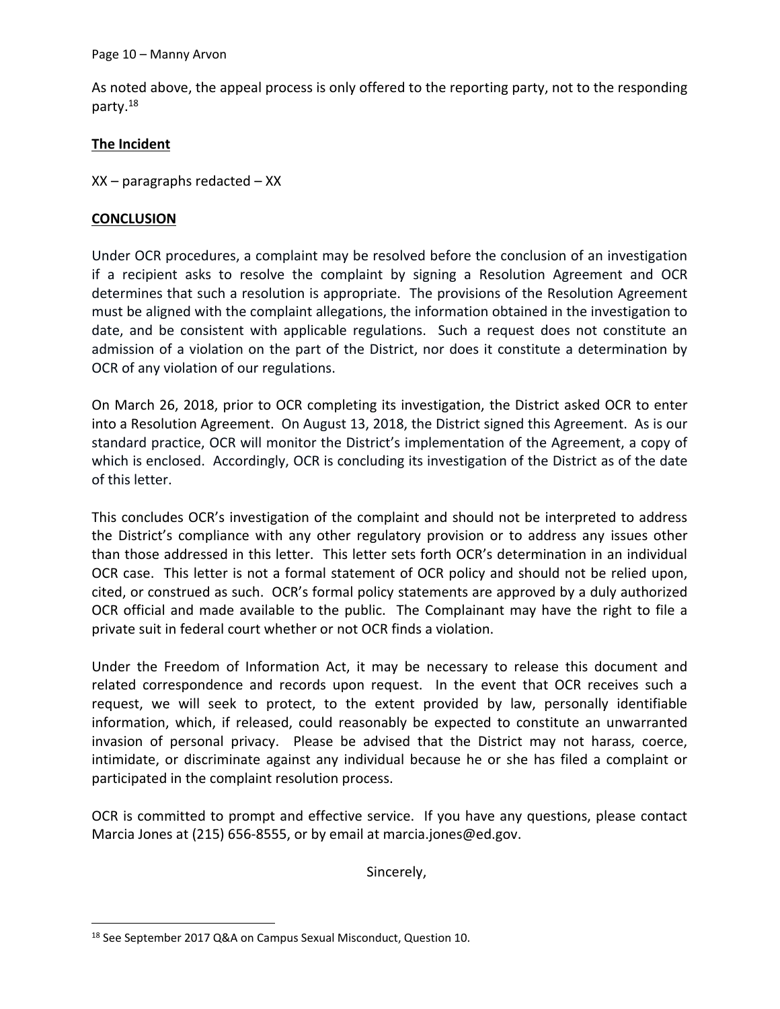As noted above, the appeal process is only offered to the reporting party, not to the responding party.<sup>18</sup>

#### **The Incident**

XX – paragraphs redacted – XX

#### **CONCLUSION**

Under OCR procedures, a complaint may be resolved before the conclusion of an investigation if a recipient asks to resolve the complaint by signing a Resolution Agreement and OCR determines that such a resolution is appropriate. The provisions of the Resolution Agreement must be aligned with the complaint allegations, the information obtained in the investigation to date, and be consistent with applicable regulations. Such a request does not constitute an admission of a violation on the part of the District, nor does it constitute a determination by OCR of any violation of our regulations.

On March 26, 2018, prior to OCR completing its investigation, the District asked OCR to enter into a Resolution Agreement. On August 13, 2018, the District signed this Agreement. As is our standard practice, OCR will monitor the District's implementation of the Agreement, a copy of which is enclosed. Accordingly, OCR is concluding its investigation of the District as of the date of this letter.

This concludes OCR's investigation of the complaint and should not be interpreted to address the District's compliance with any other regulatory provision or to address any issues other than those addressed in this letter. This letter sets forth OCR's determination in an individual OCR case. This letter is not a formal statement of OCR policy and should not be relied upon, cited, or construed as such. OCR's formal policy statements are approved by a duly authorized OCR official and made available to the public. The Complainant may have the right to file a private suit in federal court whether or not OCR finds a violation.

Under the Freedom of Information Act, it may be necessary to release this document and related correspondence and records upon request. In the event that OCR receives such a request, we will seek to protect, to the extent provided by law, personally identifiable information, which, if released, could reasonably be expected to constitute an unwarranted invasion of personal privacy. Please be advised that the District may not harass, coerce, intimidate, or discriminate against any individual because he or she has filed a complaint or participated in the complaint resolution process.

OCR is committed to prompt and effective service. If you have any questions, please contact Marcia Jones at (215) 656-8555, or by email at marcia.jones@ed.gov.

Sincerely,

 $\overline{\phantom{a}}$ <sup>18</sup> See September 2017 Q&A on Campus Sexual Misconduct, Question 10.